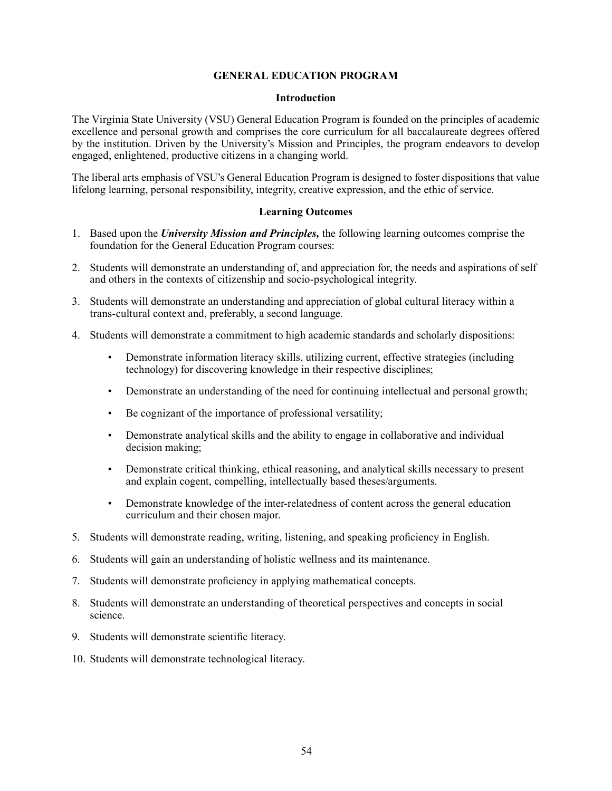# **GENERAL EDUCATION PROGRAM**

#### **Introduction**

The Virginia State University (VSU) General Education Program is founded on the principles of academic excellence and personal growth and comprises the core curriculum for all baccalaureate degrees offered by the institution. Driven by the University's Mission and Principles, the program endeavors to develop engaged, enlightened, productive citizens in a changing world.

The liberal arts emphasis of VSU's General Education Program is designed to foster dispositions that value lifelong learning, personal responsibility, integrity, creative expression, and the ethic of service.

## **Learning Outcomes**

- 1. Based upon the *University Mission and Principles,* the following learning outcomes comprise the foundation for the General Education Program courses:
- 2. Students will demonstrate an understanding of, and appreciation for, the needs and aspirations of self and others in the contexts of citizenship and socio-psychological integrity.
- 3. Students will demonstrate an understanding and appreciation of global cultural literacy within a trans-cultural context and, preferably, a second language.
- 4. Students will demonstrate a commitment to high academic standards and scholarly dispositions:
	- Demonstrate information literacy skills, utilizing current, effective strategies (including technology) for discovering knowledge in their respective disciplines;
	- Demonstrate an understanding of the need for continuing intellectual and personal growth;
	- Be cognizant of the importance of professional versatility;
	- Demonstrate analytical skills and the ability to engage in collaborative and individual decision making:
	- Demonstrate critical thinking, ethical reasoning, and analytical skills necessary to present and explain cogent, compelling, intellectually based theses/arguments.
	- Demonstrate knowledge of the inter-relatedness of content across the general education curriculum and their chosen major.
- 5. Students will demonstrate reading, writing, listening, and speaking proficiency in English.
- 6. Students will gain an understanding of holistic wellness and its maintenance.
- 7. Students will demonstrate proficiency in applying mathematical concepts.
- 8. Students will demonstrate an understanding of theoretical perspectives and concepts in social science.
- 9. Students will demonstrate scientific literacy.
- 10. Students will demonstrate technological literacy.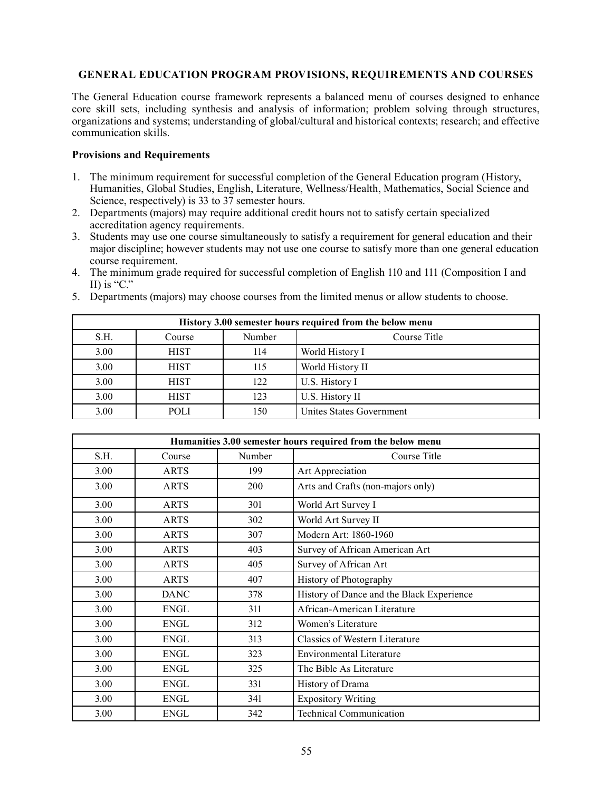# **GENERAL EDUCATION PROGRAM PROVISIONS, REQUIREMENTS AND COURSES**

The General Education course framework represents a balanced menu of courses designed to enhance core skill sets, including synthesis and analysis of information; problem solving through structures, organizations and systems; understanding of global/cultural and historical contexts; research; and effective communication skills.

## **Provisions and Requirements**

- 1. The minimum requirement for successful completion of the General Education program (History, Humanities, Global Studies, English, Literature, Wellness/Health, Mathematics, Social Science and Science, respectively) is 33 to 37 semester hours.
- 2. Departments (majors) may require additional credit hours not to satisfy certain specialized accreditation agency requirements.
- 3. Students may use one course simultaneously to satisfy a requirement for general education and their major discipline; however students may not use one course to satisfy more than one general education course requirement.
- 4. The minimum grade required for successful completion of English 110 and 111 (Composition I and II) is " $C$ ."
- 5. Departments (majors) may choose courses from the limited menus or allow students to choose.

| History 3.00 semester hours required from the below menu |             |        |                          |  |
|----------------------------------------------------------|-------------|--------|--------------------------|--|
| S.H.                                                     | Course      | Number | Course Title             |  |
| 3.00                                                     | <b>HIST</b> | 114    | World History I          |  |
| 3.00                                                     | <b>HIST</b> | 115    | World History II         |  |
| 3.00                                                     | <b>HIST</b> | 122    | U.S. History I           |  |
| 3.00                                                     | <b>HIST</b> | 123    | U.S. History II          |  |
| 3.00                                                     | <b>POLI</b> | 150    | Unites States Government |  |

| Humanities 3.00 semester hours required from the below menu |             |        |                                           |
|-------------------------------------------------------------|-------------|--------|-------------------------------------------|
| S.H.                                                        | Course      | Number | Course Title                              |
| 3.00                                                        | <b>ARTS</b> | 199    | <b>Art Appreciation</b>                   |
| 3.00                                                        | <b>ARTS</b> | 200    | Arts and Crafts (non-majors only)         |
| 3.00                                                        | <b>ARTS</b> | 301    | World Art Survey I                        |
| 3.00                                                        | <b>ARTS</b> | 302    | World Art Survey II                       |
| 3.00                                                        | <b>ARTS</b> | 307    | Modern Art: 1860-1960                     |
| 3.00                                                        | <b>ARTS</b> | 403    | Survey of African American Art            |
| 3.00                                                        | <b>ARTS</b> | 405    | Survey of African Art                     |
| 3.00                                                        | <b>ARTS</b> | 407    | History of Photography                    |
| 3.00                                                        | <b>DANC</b> | 378    | History of Dance and the Black Experience |
| 3.00                                                        | <b>ENGL</b> | 311    | African-American Literature               |
| 3.00                                                        | <b>ENGL</b> | 312    | Women's Literature                        |
| 3.00                                                        | <b>ENGL</b> | 313    | Classics of Western Literature            |
| 3.00                                                        | ENGL        | 323    | <b>Environmental Literature</b>           |
| 3.00                                                        | <b>ENGL</b> | 325    | The Bible As Literature                   |
| 3.00                                                        | <b>ENGL</b> | 331    | History of Drama                          |
| 3.00                                                        | <b>ENGL</b> | 341    | <b>Expository Writing</b>                 |
| 3.00                                                        | <b>ENGL</b> | 342    | <b>Technical Communication</b>            |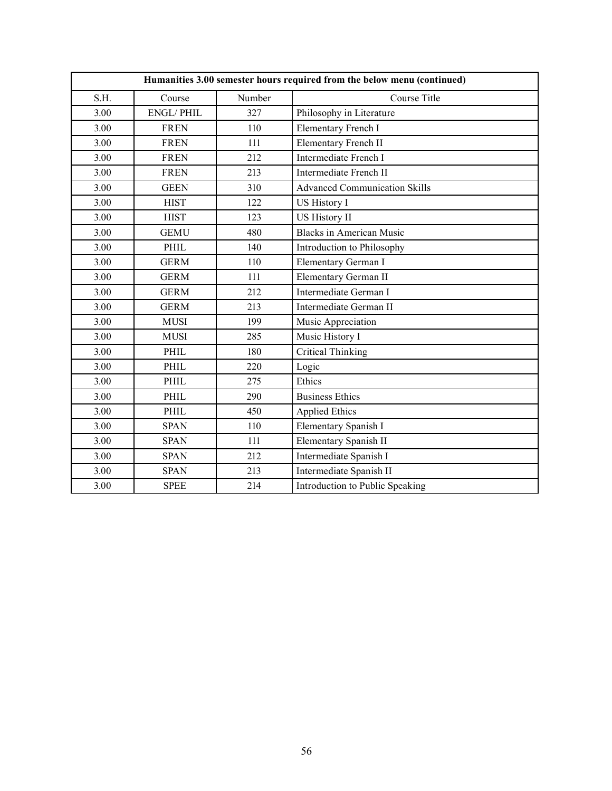| Humanities 3.00 semester hours required from the below menu (continued) |                  |        |                                      |
|-------------------------------------------------------------------------|------------------|--------|--------------------------------------|
| S.H.                                                                    | Course           | Number | Course Title                         |
| 3.00                                                                    | <b>ENGL/PHIL</b> | 327    | Philosophy in Literature             |
| 3.00                                                                    | <b>FREN</b>      | 110    | Elementary French I                  |
| 3.00                                                                    | <b>FREN</b>      | 111    | <b>Elementary French II</b>          |
| 3.00                                                                    | <b>FREN</b>      | 212    | Intermediate French I                |
| 3.00                                                                    | <b>FREN</b>      | 213    | Intermediate French II               |
| 3.00                                                                    | <b>GEEN</b>      | 310    | <b>Advanced Communication Skills</b> |
| 3.00                                                                    | <b>HIST</b>      | 122    | <b>US History I</b>                  |
| 3.00                                                                    | <b>HIST</b>      | 123    | <b>US History II</b>                 |
| 3.00                                                                    | <b>GEMU</b>      | 480    | <b>Blacks in American Music</b>      |
| 3.00                                                                    | PHIL             | 140    | Introduction to Philosophy           |
| 3.00                                                                    | <b>GERM</b>      | 110    | Elementary German I                  |
| 3.00                                                                    | <b>GERM</b>      | 111    | Elementary German II                 |
| 3.00                                                                    | <b>GERM</b>      | 212    | Intermediate German I                |
| 3.00                                                                    | <b>GERM</b>      | 213    | Intermediate German II               |
| 3.00                                                                    | <b>MUSI</b>      | 199    | Music Appreciation                   |
| 3.00                                                                    | <b>MUSI</b>      | 285    | Music History I                      |
| 3.00                                                                    | PHIL             | 180    | <b>Critical Thinking</b>             |
| 3.00                                                                    | PHIL             | 220    | Logic                                |
| 3.00                                                                    | PHIL             | 275    | Ethics                               |
| 3.00                                                                    | PHIL             | 290    | <b>Business Ethics</b>               |
| 3.00                                                                    | PHIL             | 450    | <b>Applied Ethics</b>                |
| 3.00                                                                    | <b>SPAN</b>      | 110    | Elementary Spanish I                 |
| 3.00                                                                    | <b>SPAN</b>      | 111    | Elementary Spanish II                |
| 3.00                                                                    | <b>SPAN</b>      | 212    | Intermediate Spanish I               |
| 3.00                                                                    | <b>SPAN</b>      | 213    | Intermediate Spanish II              |
| 3.00                                                                    | <b>SPEE</b>      | 214    | Introduction to Public Speaking      |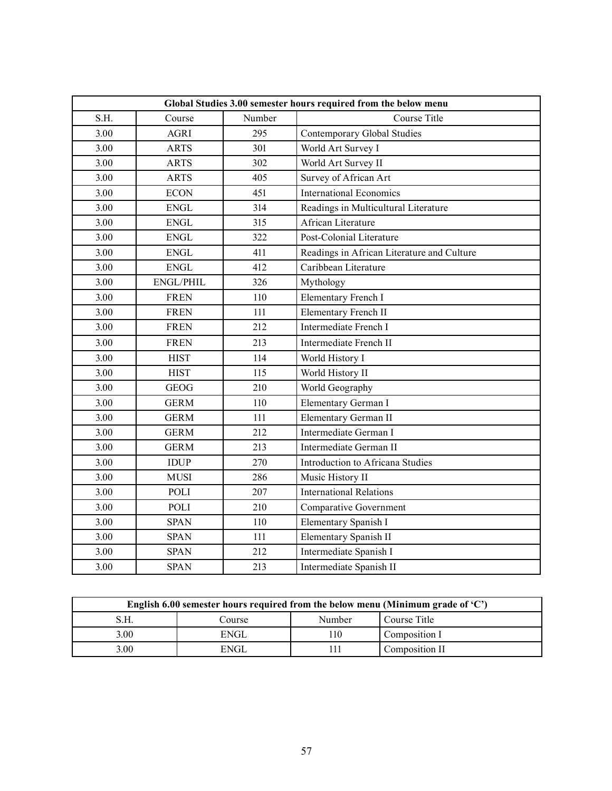| Global Studies 3.00 semester hours required from the below menu |                  |        |                                            |
|-----------------------------------------------------------------|------------------|--------|--------------------------------------------|
| S.H.                                                            | Course           | Number | Course Title                               |
| 3.00                                                            | <b>AGRI</b>      | 295    | <b>Contemporary Global Studies</b>         |
| 3.00                                                            | <b>ARTS</b>      | 301    | World Art Survey I                         |
| 3.00                                                            | <b>ARTS</b>      | 302    | World Art Survey II                        |
| 3.00                                                            | <b>ARTS</b>      | 405    | Survey of African Art                      |
| 3.00                                                            | <b>ECON</b>      | 451    | <b>International Economics</b>             |
| 3.00                                                            | <b>ENGL</b>      | 314    | Readings in Multicultural Literature       |
| 3.00                                                            | <b>ENGL</b>      | 315    | African Literature                         |
| 3.00                                                            | <b>ENGL</b>      | 322    | Post-Colonial Literature                   |
| 3.00                                                            | <b>ENGL</b>      | 411    | Readings in African Literature and Culture |
| 3.00                                                            | ${\rm ENGL}$     | 412    | Caribbean Literature                       |
| 3.00                                                            | <b>ENGL/PHIL</b> | 326    | Mythology                                  |
| 3.00                                                            | <b>FREN</b>      | 110    | Elementary French I                        |
| 3.00                                                            | <b>FREN</b>      | 111    | <b>Elementary French II</b>                |
| 3.00                                                            | <b>FREN</b>      | 212    | Intermediate French I                      |
| 3.00                                                            | <b>FREN</b>      | 213    | Intermediate French II                     |
| 3.00                                                            | <b>HIST</b>      | 114    | World History I                            |
| 3.00                                                            | <b>HIST</b>      | 115    | World History II                           |
| 3.00                                                            | <b>GEOG</b>      | 210    | World Geography                            |
| 3.00                                                            | <b>GERM</b>      | 110    | Elementary German I                        |
| 3.00                                                            | <b>GERM</b>      | 111    | Elementary German II                       |
| 3.00                                                            | <b>GERM</b>      | 212    | Intermediate German I                      |
| 3.00                                                            | <b>GERM</b>      | 213    | Intermediate German II                     |
| 3.00                                                            | <b>IDUP</b>      | 270    | Introduction to Africana Studies           |
| 3.00                                                            | <b>MUSI</b>      | 286    | Music History II                           |
| 3.00                                                            | POLI             | 207    | <b>International Relations</b>             |
| 3.00                                                            | POLI             | 210    | <b>Comparative Government</b>              |
| 3.00                                                            | <b>SPAN</b>      | 110    | Elementary Spanish I                       |
| 3.00                                                            | <b>SPAN</b>      | 111    | Elementary Spanish II                      |
| 3.00                                                            | <b>SPAN</b>      | 212    | Intermediate Spanish I                     |
| 3.00                                                            | <b>SPAN</b>      | 213    | Intermediate Spanish II                    |

| English 6.00 semester hours required from the below menu (Minimum grade of $C$ ) |        |               |                |  |
|----------------------------------------------------------------------------------|--------|---------------|----------------|--|
|                                                                                  | Course | <b>Number</b> | Course Title   |  |
| 3.00                                                                             | ENGL   | 110           | Composition I  |  |
| 3.00                                                                             | ENGI   | '11           | Composition II |  |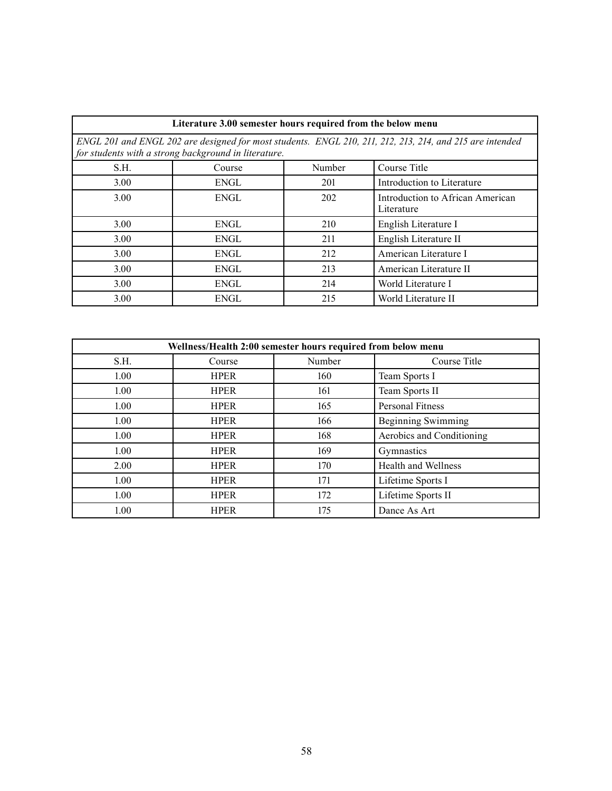| Literature 3.00 semester hours required from the below menu                                                                                                      |             |        |                                                |  |
|------------------------------------------------------------------------------------------------------------------------------------------------------------------|-------------|--------|------------------------------------------------|--|
| ENGL 201 and ENGL 202 are designed for most students. ENGL 210, 211, 212, 213, 214, and 215 are intended<br>for students with a strong background in literature. |             |        |                                                |  |
| S.H.                                                                                                                                                             | Course      | Number | Course Title                                   |  |
| 3.00                                                                                                                                                             | ENGL        | 201    | Introduction to Literature                     |  |
| 3.00                                                                                                                                                             | ENGL        | 202    | Introduction to African American<br>Literature |  |
| 3.00                                                                                                                                                             | ENGL        | 210    | English Literature I                           |  |
| 3.00                                                                                                                                                             | <b>ENGL</b> | 211    | English Literature II                          |  |
| 3.00                                                                                                                                                             | ENGL        | 212    | American Literature I                          |  |
| 3.00                                                                                                                                                             | ENGL        | 213    | American Literature II                         |  |
| 3.00                                                                                                                                                             | ENGL        | 214    | World Literature I                             |  |
| 3.00                                                                                                                                                             | ENGL        | 215    | World Literature II                            |  |

| Wellness/Health 2:00 semester hours required from below menu |             |        |                            |  |
|--------------------------------------------------------------|-------------|--------|----------------------------|--|
| S.H.                                                         | Course      | Number | Course Title               |  |
| 1.00                                                         | <b>HPER</b> | 160    | Team Sports I              |  |
| 1.00                                                         | <b>HPER</b> | 161    | Team Sports II             |  |
| 1.00                                                         | <b>HPER</b> | 165    | Personal Fitness           |  |
| 1.00                                                         | <b>HPER</b> | 166    | <b>Beginning Swimming</b>  |  |
| 1.00                                                         | <b>HPER</b> | 168    | Aerobics and Conditioning  |  |
| 1.00                                                         | <b>HPER</b> | 169    | Gymnastics                 |  |
| 2.00                                                         | <b>HPER</b> | 170    | <b>Health and Wellness</b> |  |
| 1.00                                                         | <b>HPER</b> | 171    | Lifetime Sports I          |  |
| 1.00                                                         | <b>HPER</b> | 172    | Lifetime Sports II         |  |
| 1.00                                                         | <b>HPER</b> | 175    | Dance As Art               |  |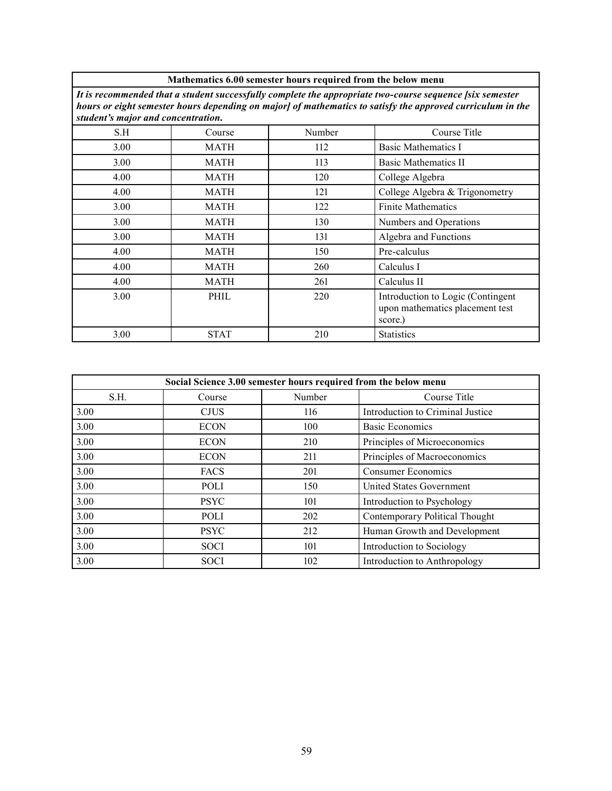|                                                                                                                                                                                                                                                              | Mathematics 6.00 semester hours required from the below menu |        |                                                                                 |  |
|--------------------------------------------------------------------------------------------------------------------------------------------------------------------------------------------------------------------------------------------------------------|--------------------------------------------------------------|--------|---------------------------------------------------------------------------------|--|
| It is recommended that a student successfully complete the appropriate two-course sequence [six semester<br>hours or eight semester hours depending on major] of mathematics to satisfy the approved curriculum in the<br>student's major and concentration. |                                                              |        |                                                                                 |  |
| S.H                                                                                                                                                                                                                                                          | Course                                                       | Number | Course Title                                                                    |  |
| 3.00                                                                                                                                                                                                                                                         | MATH                                                         | 112    | <b>Basic Mathematics I</b>                                                      |  |
| 3.00                                                                                                                                                                                                                                                         | MATH                                                         | 113    | <b>Basic Mathematics II</b>                                                     |  |
| 4.00                                                                                                                                                                                                                                                         | MATH                                                         | 120    | College Algebra                                                                 |  |
| 4.00                                                                                                                                                                                                                                                         | MATH                                                         | 121    | College Algebra & Trigonometry                                                  |  |
| 3.00                                                                                                                                                                                                                                                         | MATH                                                         | 122    | <b>Finite Mathematics</b>                                                       |  |
| 3.00                                                                                                                                                                                                                                                         | MATH                                                         | 130    | Numbers and Operations                                                          |  |
| 3.00                                                                                                                                                                                                                                                         | MATH                                                         | 131    | Algebra and Functions                                                           |  |
| 4.00                                                                                                                                                                                                                                                         | MATH                                                         | 150    | Pre-calculus                                                                    |  |
| 4.00                                                                                                                                                                                                                                                         | <b>MATH</b>                                                  | 260    | Calculus I                                                                      |  |
| 4.00                                                                                                                                                                                                                                                         | MATH                                                         | 261    | Calculus II                                                                     |  |
| 3.00                                                                                                                                                                                                                                                         | PHIL                                                         | 220    | Introduction to Logic (Contingent<br>upon mathematics placement test<br>score.) |  |
| 3.00                                                                                                                                                                                                                                                         | <b>STAT</b>                                                  | 210    | <b>Statistics</b>                                                               |  |

| Social Science 3.00 semester hours required from the below menu |             |        |                                  |
|-----------------------------------------------------------------|-------------|--------|----------------------------------|
| S.H.                                                            | Course      | Number | Course Title                     |
| 3.00                                                            | <b>CJUS</b> | 116    | Introduction to Criminal Justice |
| 3.00                                                            | <b>ECON</b> | 100    | <b>Basic Economics</b>           |
| 3.00                                                            | <b>ECON</b> | 210    | Principles of Microeconomics     |
| 3.00                                                            | <b>ECON</b> | 211    | Principles of Macroeconomics     |
| 3.00                                                            | <b>FACS</b> | 201    | Consumer Economics               |
| 3.00                                                            | POLI        | 150    | <b>United States Government</b>  |
| 3.00                                                            | <b>PSYC</b> | 101    | Introduction to Psychology       |
| 3.00                                                            | POLI        | 202    | Contemporary Political Thought   |
| 3.00                                                            | <b>PSYC</b> | 212    | Human Growth and Development     |
| 3.00                                                            | <b>SOCI</b> | 101    | Introduction to Sociology        |
| $3.00$                                                          | SOCI        | 102    | Introduction to Anthropology     |

٦

Г

#### **Mathematics 6.00 semester hours required from the below menu**

٦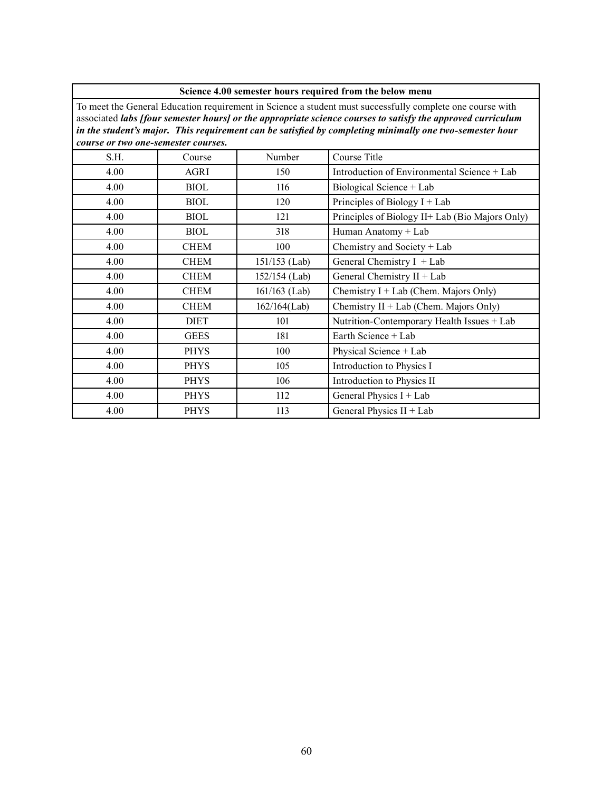| Science 4.00 semester hours required from the below menu |  |  |  |  |
|----------------------------------------------------------|--|--|--|--|
|----------------------------------------------------------|--|--|--|--|

To meet the General Education requirement in Science a student must successfully complete one course with associated *labs [four semester hours] or the appropriate science courses to satisfy the approved curriculum in the student's major. This requirement can be satisfied by completing minimally one two-semester hour course or two one-semester courses.*

| S.H. | Course      | Number          | Course Title                                    |
|------|-------------|-----------------|-------------------------------------------------|
| 4.00 | AGRI        | 150             | Introduction of Environmental Science + Lab     |
| 4.00 | <b>BIOL</b> | 116             | Biological Science + Lab                        |
| 4.00 | <b>BIOL</b> | 120             | Principles of Biology $I + Lab$                 |
| 4.00 | <b>BIOL</b> | 121             | Principles of Biology II+ Lab (Bio Majors Only) |
| 4.00 | <b>BIOL</b> | 318             | Human Anatomy + Lab                             |
| 4.00 | <b>CHEM</b> | 100             | Chemistry and Society + Lab                     |
| 4.00 | <b>CHEM</b> | $151/153$ (Lab) | General Chemistry $I + Lab$                     |
| 4.00 | <b>CHEM</b> | 152/154 (Lab)   | General Chemistry II + Lab                      |
| 4.00 | <b>CHEM</b> | $161/163$ (Lab) | Chemistry $I + Lab$ (Chem. Majors Only)         |
| 4.00 | <b>CHEM</b> | $162/164$ (Lab) | Chemistry $II + Lab$ (Chem. Majors Only)        |
| 4.00 | <b>DIET</b> | 101             | Nutrition-Contemporary Health Issues + Lab      |
| 4.00 | <b>GEES</b> | 181             | Earth Science + Lab                             |
| 4.00 | <b>PHYS</b> | 100             | Physical Science + Lab                          |
| 4.00 | <b>PHYS</b> | 105             | Introduction to Physics I                       |
| 4.00 | <b>PHYS</b> | 106             | Introduction to Physics II                      |
| 4.00 | <b>PHYS</b> | 112             | General Physics $I + Lab$                       |
| 4.00 | <b>PHYS</b> | 113             | General Physics II + Lab                        |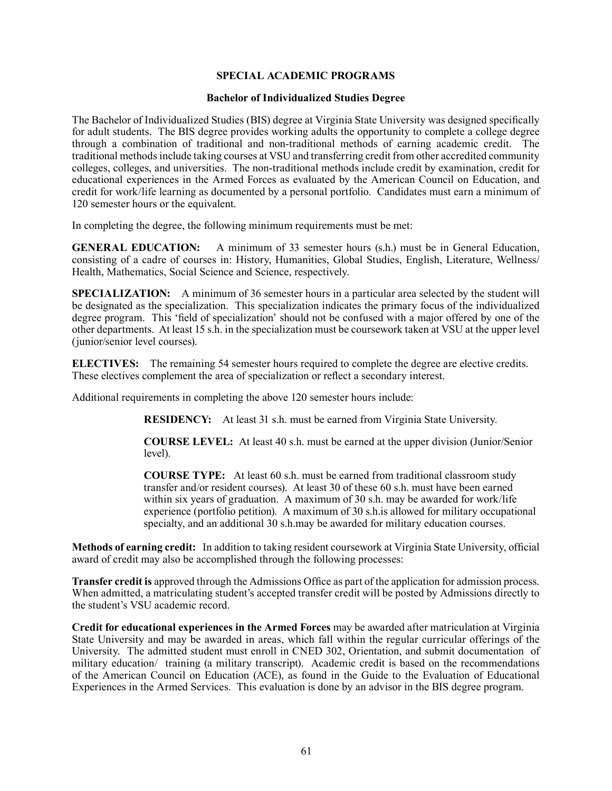## **SPECIAL ACADEMIC PROGRAMS**

#### **Bachelor of Individualized Studies Degree**

The Bachelor of Individualized Studies (BIS) degree at Virginia State University was designed specifically for adult students. The BIS degree provides working adults the opportunity to complete a college degree through a combination of traditional and non-traditional methods of earning academic credit. The traditional methods include taking courses at VSU and transferring credit from other accredited community colleges, colleges, and universities. The non-traditional methods include credit by examination, credit for educational experiences in the Armed Forces as evaluated by the American Council on Education, and credit for work/life learning as documented by a personal portfolio. Candidates must earn a minimum of 120 semester hours or the equivalent.

In completing the degree, the following minimum requirements must be met:

**GENERAL EDUCATION:** A minimum of 33 semester hours (s.h.) must be in General Education, consisting of a cadre of courses in: History, Humanities, Global Studies, English, Literature, Wellness/ Health, Mathematics, Social Science and Science, respectively.

**SPECIALIZATION:** A minimum of 36 semester hours in a particular area selected by the student will be designated as the specialization. This specialization indicates the primary focus of the individualized degree program. This 'field of specialization' should not be confused with a major offered by one of the other departments. At least 15 s.h. in the specialization must be coursework taken at VSU at the upper level (junior/senior level courses).

**ELECTIVES:** The remaining 54 semester hours required to complete the degree are elective credits. These electives complement the area of specialization or reflect a secondary interest.

Additional requirements in completing the above 120 semester hours include:

**RESIDENCY:** At least 31 s.h. must be earned from Virginia State University.

**COURSE LEVEL:** At least 40 s.h. must be earned at the upper division (Junior/Senior) level).

**COURSE TYPE:** At least 60 s.h. must be earned from traditional classroom study transfer and/or resident courses). At least 30 of these 60 s.h. must have been earned within six years of graduation. A maximum of 30 s.h. may be awarded for work/life experience (portfolio petition). A maximum of 30 s.h. is allowed for military occupational specialty, and an additional 30 s.h.may be awarded for military education courses.

**Methods of earning credit:** In addition to taking resident coursework at Virginia State University, official award of credit may also be accomplished through the following processes:

**Transfer credit is approved through the Admissions Office as part of the application for admission process.** When admitted, a matriculating student's accepted transfer credit will be posted by Admissions directly to the student's VSU academic record.

**Credit for educational experiences in the Armed Forces** may be awarded after matriculation at Virginia State University and may be awarded in areas, which fall within the regular curricular offerings of the University. The admitted student must enroll in CNED 302, Orientation, and submit documentation of military education/ training (a military transcript). Academic credit is based on the recommendations of the American Council on Education (ACE), as found in the Guide to the Evaluation of Educational Experiences in the Armed Services. This evaluation is done by an advisor in the BIS degree program.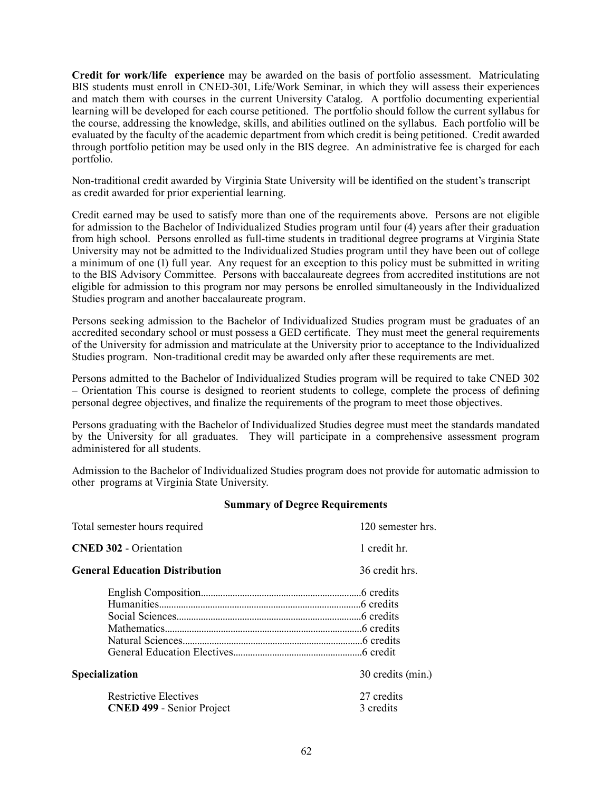**Credit for work/life experience** may be awarded on the basis of portfolio assessment. Matriculating BIS students must enroll in CNED-301, Life/Work Seminar, in which they will assess their experiences and match them with courses in the current University Catalog. A portfolio documenting experiential learning will be developed for each course petitioned. The portfolio should follow the current syllabus for the course, addressing the knowledge, skills, and abilities outlined on the syllabus. Each portfolio will be evaluated by the faculty of the academic department from which credit is being petitioned. Credit awarded through portfolio petition may be used only in the BIS degree. An administrative fee is charged for each portfolio.

Non-traditional credit awarded by Virginia State University will be identified on the student's transcript as credit awarded for prior experiential learning.

Credit earned may be used to satisfy more than one of the requirements above. Persons are not eligible for admission to the Bachelor of Individualized Studies program until four (4) years after their graduation from high school. Persons enrolled as full-time students in traditional degree programs at Virginia State University may not be admitted to the Individualized Studies program until they have been out of college a minimum of one (1) full year. Any request for an exception to this policy must be submitted in writing to the BIS Advisory Committee. Persons with baccalaureate degrees from accredited institutions are not eligible for admission to this program nor may persons be enrolled simultaneously in the Individualized Studies program and another baccalaureate program.

Persons seeking admission to the Bachelor of Individualized Studies program must be graduates of an accredited secondary school or must possess a GED certificate. They must meet the general requirements of the University for admission and matriculate at the University prior to acceptance to the Individualized Studies program. Non-traditional credit may be awarded only after these requirements are met.

Persons admitted to the Bachelor of Individualized Studies program will be required to take CNED 302 ± 2ULHQWDWLRQ 7KLV FRXUVHLV GHVLJQHGWR UHRULHQW VWXGHQWVWR FROOHJH FRPSOHWHWKH SURFHVV RI GH¿QLQJ personal degree objectives, and finalize the requirements of the program to meet those objectives.

Persons graduating with the Bachelor of Individualized Studies degree must meet the standards mandated by the University for all graduates. They will participate in a comprehensive assessment program administered for all students.

Admission to the Bachelor of Individualized Studies program does not provide for automatic admission to other programs at Virginia State University.

#### **Summary of Degree Requirements**

| Total semester hours required                                    | 120 semester hrs.       |
|------------------------------------------------------------------|-------------------------|
| <b>CNED 302 - Orientation</b>                                    | 1 credit hr.            |
| <b>General Education Distribution</b>                            | 36 credit hrs.          |
|                                                                  |                         |
|                                                                  |                         |
|                                                                  |                         |
|                                                                  |                         |
|                                                                  |                         |
|                                                                  |                         |
| Specialization                                                   | 30 credits (min.)       |
| <b>Restrictive Electives</b><br><b>CNED 499 - Senior Project</b> | 27 credits<br>3 credits |
|                                                                  |                         |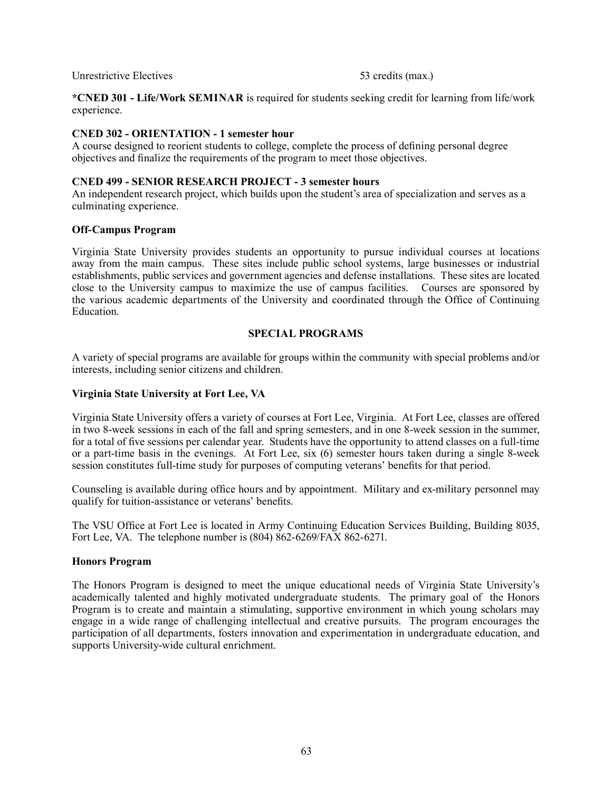Unrestrictive Electives 63 credits (max.)

\***CNED 301 - Life/Work SEMINAR** is required for students seeking credit for learning from life/work experience.

# **CNED 302 - ORIENTATION - 1 semester hour**

A course designed to reorient students to college, complete the process of defining personal degree objectives and finalize the requirements of the program to meet those objectives.

#### **CNED 499 - SENIOR RESEARCH PROJECT - 3 semester hours**

An independent research project, which builds upon the student's area of specialization and serves as a culminating experience.

## **Off-Campus Program**

Virginia State University provides students an opportunity to pursue individual courses at locations away from the main campus. These sites include public school systems, large businesses or industrial establishments, public services and government agencies and defense installations. These sites are located close to the University campus to maximize the use of campus facilities. Courses are sponsored by the various academic departments of the University and coordinated through the Office of Continuing **Education** 

## **SPECIAL PROGRAMS**

A variety of special programs are available for groups within the community with special problems and/or interests, including senior citizens and children.

## **Virginia State University at Fort Lee, VA**

Virginia State University offers a variety of courses at Fort Lee, Virginia. At Fort Lee, classes are offered in two 8-week sessions in each of the fall and spring semesters, and in one 8-week session in the summer, for a total of five sessions per calendar year. Students have the opportunity to attend classes on a full-time or a part-time basis in the evenings. At Fort Lee, six (6) semester hours taken during a single 8-week session constitutes full-time study for purposes of computing veterans' benefits for that period.

Counseling is available during office hours and by appointment. Military and ex-military personnel may qualify for tuition-assistance or veterans' benefits.

The VSU Office at Fort Lee is located in Army Continuing Education Services Building, Building 8035, Fort Lee, VA. The telephone number is  $(804)$  862-6269/FAX 862-6271.

#### **Honors Program**

The Honors Program is designed to meet the unique educational needs of Virginia State University's academically talented and highly motivated undergraduate students. The primary goal of the Honors Program is to create and maintain a stimulating, supportive environment in which young scholars may engage in a wide range of challenging intellectual and creative pursuits. The program encourages the participation of all departments, fosters innovation and experimentation in undergraduate education, and supports University-wide cultural enrichment.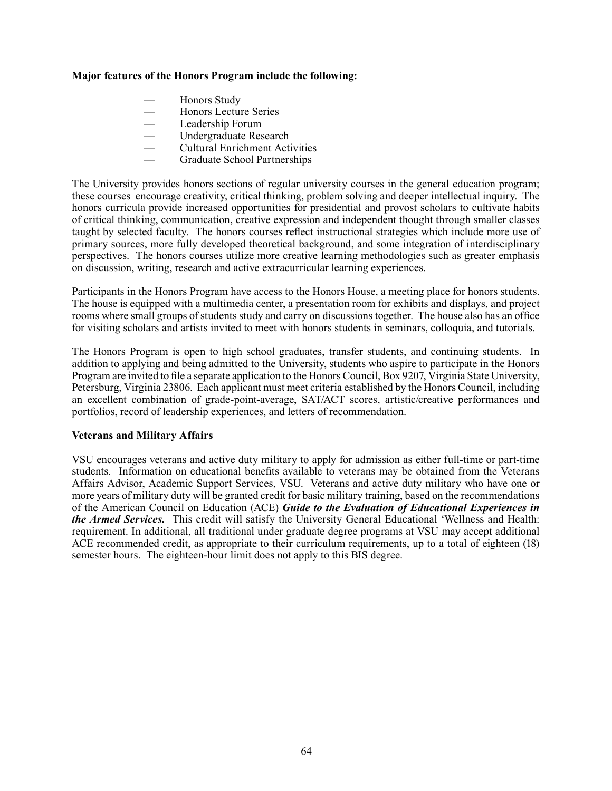## **Major features of the Honors Program include the following:**

- Honors Study
- Honors Lecture Series
- Leadership Forum
- Undergraduate Research
- Cultural Enrichment Activities
- Graduate School Partnerships

The University provides honors sections of regular university courses in the general education program; these courses encourage creativity, critical thinking, problem solving and deeper intellectual inquiry. The honors curricula provide increased opportunities for presidential and provost scholars to cultivate habits of critical thinking, communication, creative expression and independent thought through smaller classes taught by selected faculty. The honors courses reflect instructional strategies which include more use of primary sources, more fully developed theoretical background, and some integration of interdisciplinary perspectives. The honors courses utilize more creative learning methodologies such as greater emphasis on discussion, writing, research and active extracurricular learning experiences.

Participants in the Honors Program have access to the Honors House, a meeting place for honors students. The house is equipped with a multimedia center, a presentation room for exhibits and displays, and project rooms where small groups of students study and carry on discussions together. The house also has an office for visiting scholars and artists invited to meet with honors students in seminars, colloquia, and tutorials.

The Honors Program is open to high school graduates, transfer students, and continuing students. In addition to applying and being admitted to the University, students who aspire to participate in the Honors Program are invited to file a separate application to the Honors Council, Box 9207, Virginia State University, Petersburg, Virginia 23806. Each applicant must meet criteria established by the Honors Council, including an excellent combination of grade-point-average, SAT/ACT scores, artistic/creative performances and portfolios, record of leadership experiences, and letters of recommendation.

#### **Veterans and Military Affairs**

VSU encourages veterans and active duty military to apply for admission as either full-time or part-time students. Information on educational benefits available to veterans may be obtained from the Veterans Affairs Advisor, Academic Support Services, VSU. Veterans and active duty military who have one or more years of military duty will be granted credit for basic military training, based on the recommendations of the American Council on Education (ACE) *Guide to the Evaluation of Educational Experiences in the Armed Services.* This credit will satisfy the University General Educational 'Wellness and Health: requirement. In additional, all traditional under graduate degree programs at VSU may accept additional ACE recommended credit, as appropriate to their curriculum requirements, up to a total of eighteen (18) semester hours. The eighteen-hour limit does not apply to this BIS degree.